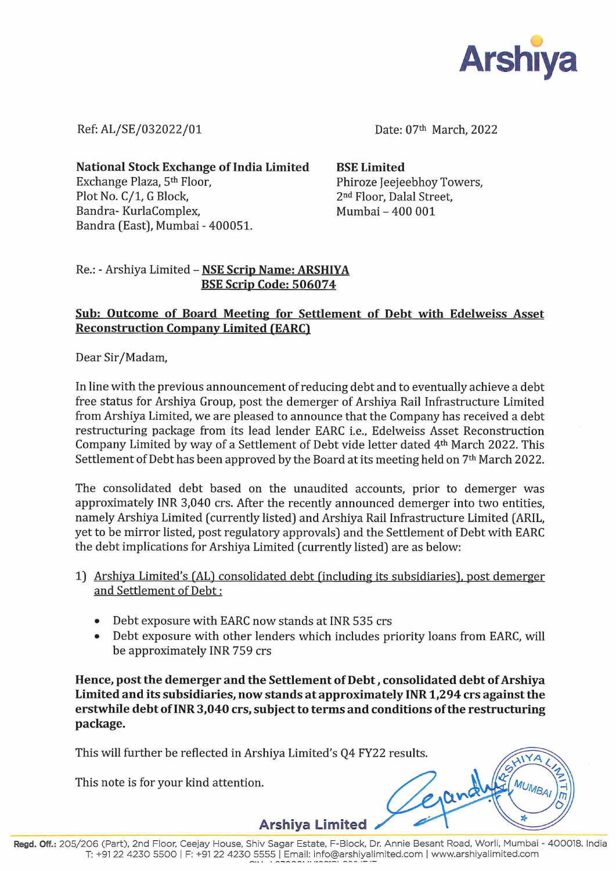

Ref: AL/SE/032022/01 Date: 07<sup>th</sup> March, 2022

National Stock Exchange of India Limited BSE Limited Exchange Plaza, 5<sup>th</sup> Floor, Phiroze Jeejeebhoy Towers, Plot No. C/1, G Block, 2<sup>nd</sup> Floor, Dalal Street, Bandra- KurlaComplex, Mumbai – 400 001 Bandra (East), Mumbai - 400051.

## Re.: - Arshiya Limited - NSE Scrip Name: ARSHIYA BSE Scrip Code: 506074

## Sub: Outcome of Board Meeting for Settlement of Debt with Edelweiss Asset **Reconstruction Company Limited (EARC)**

Dear Sir/Madam,

In line with the previous announcement of reducing debt and to eventually achieve a debt free status for Arshiya Group, post the demerger of Arshiya Rail Infrastructure Limited from Arshiya Limited, we are pleased to announce that the Company has received a debt restructuring package from its lead lender EARC i.e., Edelweiss Asset Reconstruction Company Limited by way of a Settlement of Debt vide letter dated 4th March 2022. This Settlement of Debt has been approved by the Board at its meeting held on 7<sup>th</sup> March 2022.

The consolidated debt based on the unaudited accounts, prior to demerger was approximately INR 3,040 crs. After the recently announced demerger into two entities, namely Arshiya Limited (currently listed) and Arshiya Rail Infrastructure Limited (ARIL, yet to be mirror listed, post regulatory approvals) and the Settlement of Debt with EARC the debt implications for Arshiya Limited (currently listed) are as below:

- 1) Arshiya Limited's (AL) consolidated debt (including its subsidiaries), post demerger and Settlement of Debt :
	- e Debt exposure with EARC now stands at INR 535 crs
	- Debt exposure with other lenders which includes priority loans from EARC, will be approximately INR 759 crs

Hence, post the demerger and the Settlement of Debt , consolidated debt of Arshiya Limited and its subsidiaries, now stands at approximately INR 1,294 crs against the erstwhile debt of INR 3,040 crs, subject to terms and conditions of the restructuring package.

This will further be reflected in Arshiya Limited's Q4 FY22 results.

This note is for your kind attention.

Arshiya Limited

Erand